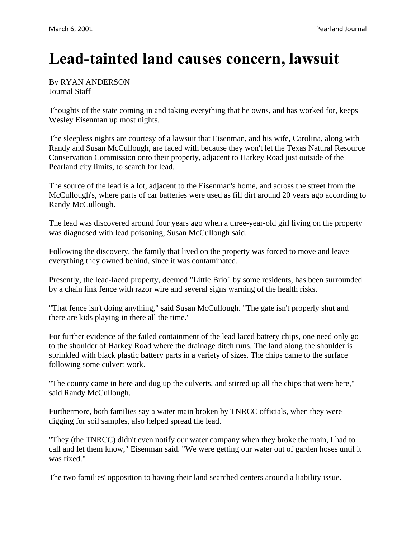## **Lead-tainted land causes concern, lawsuit**

By RYAN ANDERSON Journal Staff

Thoughts of the state coming in and taking everything that he owns, and has worked for, keeps Wesley Eisenman up most nights.

The sleepless nights are courtesy of a lawsuit that Eisenman, and his wife, Carolina, along with Randy and Susan McCullough, are faced with because they won't let the Texas Natural Resource Conservation Commission onto their property, adjacent to Harkey Road just outside of the Pearland city limits, to search for lead.

The source of the lead is a lot, adjacent to the Eisenman's home, and across the street from the McCullough's, where parts of car batteries were used as fill dirt around 20 years ago according to Randy McCullough.

The lead was discovered around four years ago when a three-year-old girl living on the property was diagnosed with lead poisoning, Susan McCullough said.

Following the discovery, the family that lived on the property was forced to move and leave everything they owned behind, since it was contaminated.

Presently, the lead-laced property, deemed "Little Brio" by some residents, has been surrounded by a chain link fence with razor wire and several signs warning of the health risks.

"That fence isn't doing anything," said Susan McCullough. "The gate isn't properly shut and there are kids playing in there all the time."

For further evidence of the failed containment of the lead laced battery chips, one need only go to the shoulder of Harkey Road where the drainage ditch runs. The land along the shoulder is sprinkled with black plastic battery parts in a variety of sizes. The chips came to the surface following some culvert work.

"The county came in here and dug up the culverts, and stirred up all the chips that were here," said Randy McCullough.

Furthermore, both families say a water main broken by TNRCC officials, when they were digging for soil samples, also helped spread the lead.

"They (the TNRCC) didn't even notify our water company when they broke the main, I had to call and let them know," Eisenman said. "We were getting our water out of garden hoses until it was fixed."

The two families' opposition to having their land searched centers around a liability issue.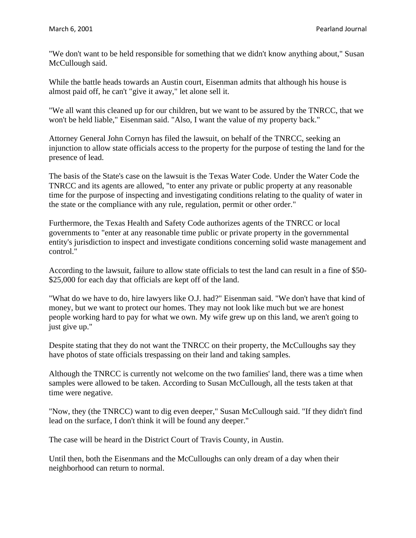"We don't want to be held responsible for something that we didn't know anything about," Susan McCullough said.

While the battle heads towards an Austin court, Eisenman admits that although his house is almost paid off, he can't "give it away," let alone sell it.

"We all want this cleaned up for our children, but we want to be assured by the TNRCC, that we won't be held liable," Eisenman said. "Also, I want the value of my property back."

Attorney General John Cornyn has filed the lawsuit, on behalf of the TNRCC, seeking an injunction to allow state officials access to the property for the purpose of testing the land for the presence of lead.

The basis of the State's case on the lawsuit is the Texas Water Code. Under the Water Code the TNRCC and its agents are allowed, "to enter any private or public property at any reasonable time for the purpose of inspecting and investigating conditions relating to the quality of water in the state or the compliance with any rule, regulation, permit or other order."

Furthermore, the Texas Health and Safety Code authorizes agents of the TNRCC or local governments to "enter at any reasonable time public or private property in the governmental entity's jurisdiction to inspect and investigate conditions concerning solid waste management and control."

According to the lawsuit, failure to allow state officials to test the land can result in a fine of \$50- \$25,000 for each day that officials are kept off of the land.

"What do we have to do, hire lawyers like O.J. had?" Eisenman said. "We don't have that kind of money, but we want to protect our homes. They may not look like much but we are honest people working hard to pay for what we own. My wife grew up on this land, we aren't going to just give up."

Despite stating that they do not want the TNRCC on their property, the McCulloughs say they have photos of state officials trespassing on their land and taking samples.

Although the TNRCC is currently not welcome on the two families' land, there was a time when samples were allowed to be taken. According to Susan McCullough, all the tests taken at that time were negative.

"Now, they (the TNRCC) want to dig even deeper," Susan McCullough said. "If they didn't find lead on the surface, I don't think it will be found any deeper."

The case will be heard in the District Court of Travis County, in Austin.

Until then, both the Eisenmans and the McCulloughs can only dream of a day when their neighborhood can return to normal.